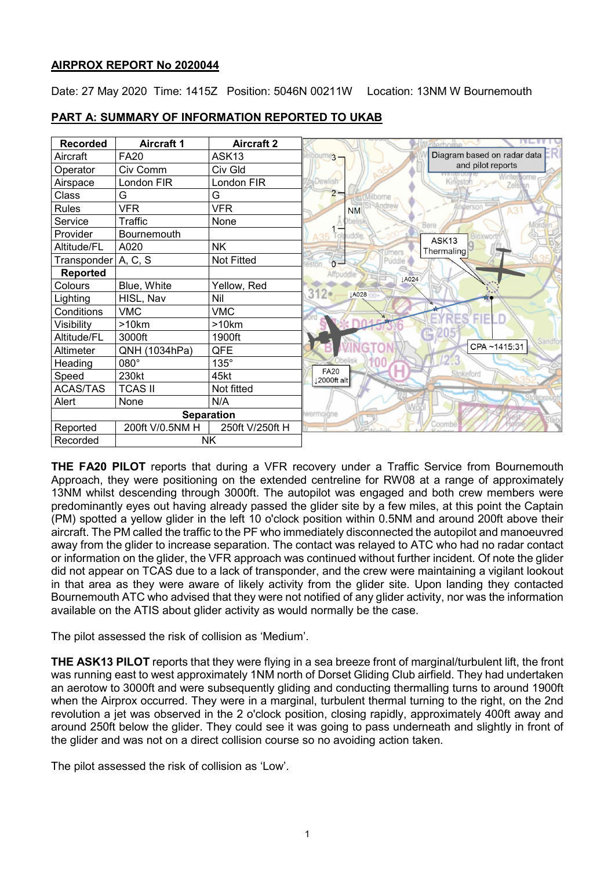# **AIRPROX REPORT No 2020044**

Date: 27 May 2020 Time: 1415Z Position: 5046N 00211W Location: 13NM W Bournemouth

| <b>Recorded</b>       | <b>Aircraft 1</b> | <b>Aircraft 2</b> |                                         |
|-----------------------|-------------------|-------------------|-----------------------------------------|
| Aircraft              | <b>FA20</b>       | ASK <sub>13</sub> | Diagram based on radar data<br>$3 -$    |
| Operator              | Civ Comm          | Civ Gld           | and pilot reports                       |
| Airspace              | London FIR        | London FIR        | ternome<br>Kini<br><b>Zelsten</b>       |
| Class                 | G                 | G                 | $2 -$<br>ilborn                         |
| <b>Rules</b>          | <b>VFR</b>        | <b>VFR</b>        | <b>NM</b><br>AЗ                         |
| Service               | <b>Traffic</b>    | None              |                                         |
| Provider              | Bournemouth       |                   | ddle.<br>Bloxwort<br>ASK13              |
| Altitude/FL           | A020              | <b>NK</b>         | Thermaling<br>umers                     |
| Transponder   A, C, S |                   | <b>Not Fitted</b> | Puddle<br>$\circ$                       |
| Reported              |                   |                   | Affpuddle<br><b>JA024</b>               |
| Colours               | Blue, White       | Yellow, Red       |                                         |
| Lighting              | HISL, Nav         | Nil               | $312 -$<br>LA028                        |
| Conditions            | <b>VMC</b>        | <b>VMC</b>        |                                         |
| Visibility            | >10km             | >10km             | <b>RES'FIELD</b>                        |
| Altitude/FL           | 3000ft            | 1900ft            | Sandfor                                 |
| Altimeter             | QNH (1034hPa)     | QFE               | CPA~1415:31                             |
| Heading               | 080°              | $135^\circ$       |                                         |
| Speed                 | 230kt             | 45kt              | <b>FA20</b><br>Stokeford<br>12000ft alt |
| <b>ACAS/TAS</b>       | <b>TCAS II</b>    | Not fitted        |                                         |
| Alert                 | None              | N/A               |                                         |
|                       |                   | <b>Separation</b> | wermoiane                               |
| Reported              | 200ft V/0.5NM H   | 250ft V/250ft H   | Coombe                                  |
| Recorded              |                   | NΚ                |                                         |

# **PART A: SUMMARY OF INFORMATION REPORTED TO UKAB**

**THE FA20 PILOT** reports that during a VFR recovery under a Traffic Service from Bournemouth Approach, they were positioning on the extended centreline for RW08 at a range of approximately 13NM whilst descending through 3000ft. The autopilot was engaged and both crew members were predominantly eyes out having already passed the glider site by a few miles, at this point the Captain (PM) spotted a yellow glider in the left 10 o'clock position within 0.5NM and around 200ft above their aircraft. The PM called the traffic to the PF who immediately disconnected the autopilot and manoeuvred away from the glider to increase separation. The contact was relayed to ATC who had no radar contact or information on the glider, the VFR approach was continued without further incident. Of note the glider did not appear on TCAS due to a lack of transponder, and the crew were maintaining a vigilant lookout in that area as they were aware of likely activity from the glider site. Upon landing they contacted Bournemouth ATC who advised that they were not notified of any glider activity, nor was the information available on the ATIS about glider activity as would normally be the case.

The pilot assessed the risk of collision as 'Medium'.

**THE ASK13 PILOT** reports that they were flying in a sea breeze front of marginal/turbulent lift, the front was running east to west approximately 1NM north of Dorset Gliding Club airfield. They had undertaken an aerotow to 3000ft and were subsequently gliding and conducting thermalling turns to around 1900ft when the Airprox occurred. They were in a marginal, turbulent thermal turning to the right, on the 2nd revolution a jet was observed in the 2 o'clock position, closing rapidly, approximately 400ft away and around 250ft below the glider. They could see it was going to pass underneath and slightly in front of the glider and was not on a direct collision course so no avoiding action taken.

The pilot assessed the risk of collision as 'Low'.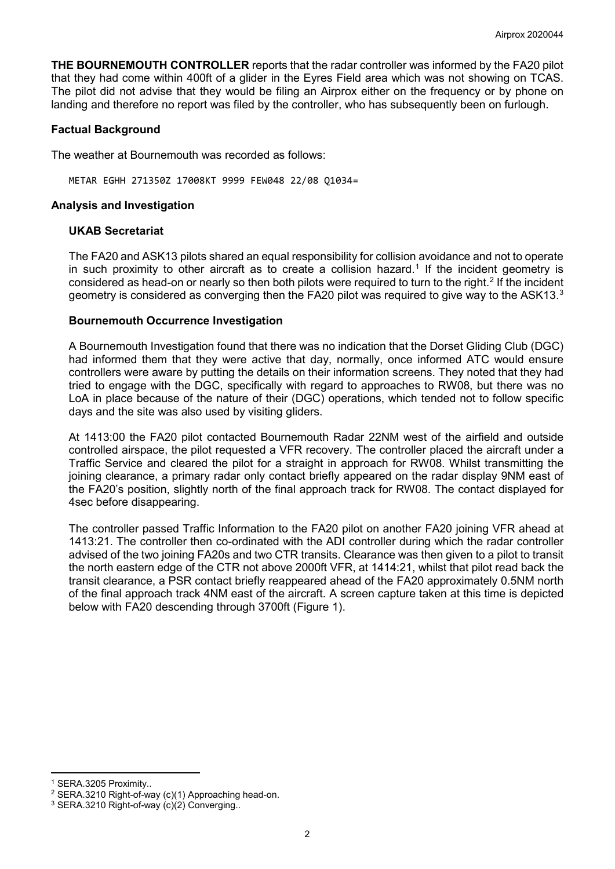**THE BOURNEMOUTH CONTROLLER** reports that the radar controller was informed by the FA20 pilot that they had come within 400ft of a glider in the Eyres Field area which was not showing on TCAS. The pilot did not advise that they would be filing an Airprox either on the frequency or by phone on landing and therefore no report was filed by the controller, who has subsequently been on furlough.

# **Factual Background**

The weather at Bournemouth was recorded as follows:

METAR EGHH 271350Z 17008KT 9999 FEW048 22/08 Q1034=

# **Analysis and Investigation**

# **UKAB Secretariat**

The FA20 and ASK13 pilots shared an equal responsibility for collision avoidance and not to operate in such proximity to other aircraft as to create a collision hazard. [1](#page-1-0) If the incident geometry is considered as head-on or nearly so then both pilots were required to turn to the right. [2](#page-1-1) If the incident geometry is considered as converging then the FA20 pilot was required to give way to the ASK1[3](#page-1-2). $^{\rm 3}$ 

# **Bournemouth Occurrence Investigation**

A Bournemouth Investigation found that there was no indication that the Dorset Gliding Club (DGC) had informed them that they were active that day, normally, once informed ATC would ensure controllers were aware by putting the details on their information screens. They noted that they had tried to engage with the DGC, specifically with regard to approaches to RW08, but there was no LoA in place because of the nature of their (DGC) operations, which tended not to follow specific days and the site was also used by visiting gliders.

At 1413:00 the FA20 pilot contacted Bournemouth Radar 22NM west of the airfield and outside controlled airspace, the pilot requested a VFR recovery. The controller placed the aircraft under a Traffic Service and cleared the pilot for a straight in approach for RW08. Whilst transmitting the joining clearance, a primary radar only contact briefly appeared on the radar display 9NM east of the FA20's position, slightly north of the final approach track for RW08. The contact displayed for 4sec before disappearing.

The controller passed Traffic Information to the FA20 pilot on another FA20 joining VFR ahead at 1413:21. The controller then co-ordinated with the ADI controller during which the radar controller advised of the two joining FA20s and two CTR transits. Clearance was then given to a pilot to transit the north eastern edge of the CTR not above 2000ft VFR, at 1414:21, whilst that pilot read back the transit clearance, a PSR contact briefly reappeared ahead of the FA20 approximately 0.5NM north of the final approach track 4NM east of the aircraft. A screen capture taken at this time is depicted below with FA20 descending through 3700ft (Figure 1).

l <sup>1</sup> SERA.3205 Proximity..

<span id="page-1-2"></span><span id="page-1-1"></span><span id="page-1-0"></span><sup>&</sup>lt;sup>2</sup> SERA.3210 Right-of-way (c)(1) Approaching head-on.<br><sup>3</sup> SERA.3210 Right-of-way (c)(2) Converging..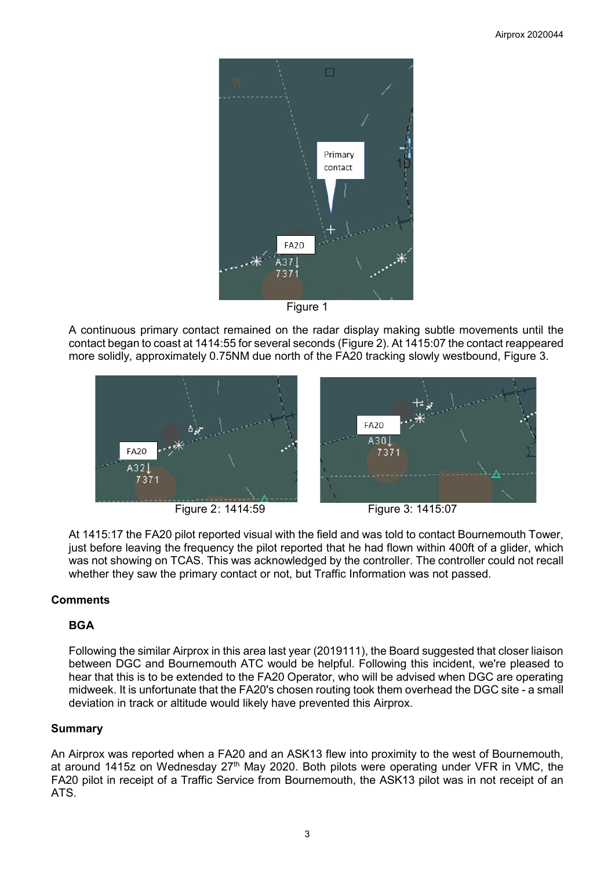



A continuous primary contact remained on the radar display making subtle movements until the contact began to coast at 1414:55 for several seconds (Figure 2). At 1415:07 the contact reappeared more solidly, approximately 0.75NM due north of the FA20 tracking slowly westbound, Figure 3.



Figure 2: 1414:59 Figure 3: 1415:07



At 1415:17 the FA20 pilot reported visual with the field and was told to contact Bournemouth Tower, just before leaving the frequency the pilot reported that he had flown within 400ft of a glider, which was not showing on TCAS. This was acknowledged by the controller. The controller could not recall whether they saw the primary contact or not, but Traffic Information was not passed.

# **Comments**

# **BGA**

Following the similar Airprox in this area last year (2019111), the Board suggested that closer liaison between DGC and Bournemouth ATC would be helpful. Following this incident, we're pleased to hear that this is to be extended to the FA20 Operator, who will be advised when DGC are operating midweek. It is unfortunate that the FA20's chosen routing took them overhead the DGC site - a small deviation in track or altitude would likely have prevented this Airprox.

# **Summary**

An Airprox was reported when a FA20 and an ASK13 flew into proximity to the west of Bournemouth, at around 1415z on Wednesday 27<sup>th</sup> May 2020. Both pilots were operating under VFR in VMC, the FA20 pilot in receipt of a Traffic Service from Bournemouth, the ASK13 pilot was in not receipt of an ATS.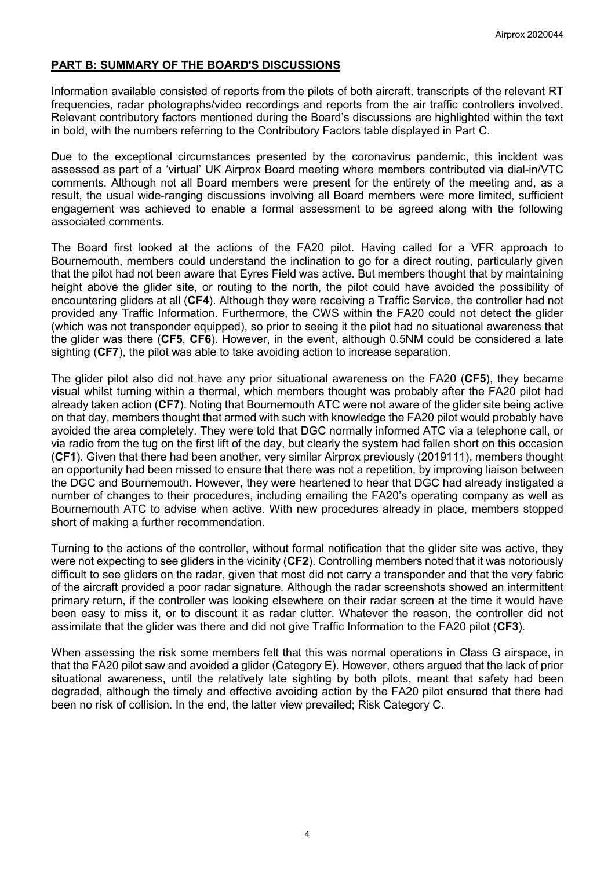# **PART B: SUMMARY OF THE BOARD'S DISCUSSIONS**

Information available consisted of reports from the pilots of both aircraft, transcripts of the relevant RT frequencies, radar photographs/video recordings and reports from the air traffic controllers involved. Relevant contributory factors mentioned during the Board's discussions are highlighted within the text in bold, with the numbers referring to the Contributory Factors table displayed in Part C.

Due to the exceptional circumstances presented by the coronavirus pandemic, this incident was assessed as part of a 'virtual' UK Airprox Board meeting where members contributed via dial-in/VTC comments. Although not all Board members were present for the entirety of the meeting and, as a result, the usual wide-ranging discussions involving all Board members were more limited, sufficient engagement was achieved to enable a formal assessment to be agreed along with the following associated comments.

The Board first looked at the actions of the FA20 pilot. Having called for a VFR approach to Bournemouth, members could understand the inclination to go for a direct routing, particularly given that the pilot had not been aware that Eyres Field was active. But members thought that by maintaining height above the glider site, or routing to the north, the pilot could have avoided the possibility of encountering gliders at all (**CF4**). Although they were receiving a Traffic Service, the controller had not provided any Traffic Information. Furthermore, the CWS within the FA20 could not detect the glider (which was not transponder equipped), so prior to seeing it the pilot had no situational awareness that the glider was there (**CF5**, **CF6**). However, in the event, although 0.5NM could be considered a late sighting (**CF7**), the pilot was able to take avoiding action to increase separation.

The glider pilot also did not have any prior situational awareness on the FA20 (**CF5**), they became visual whilst turning within a thermal, which members thought was probably after the FA20 pilot had already taken action (**CF7**). Noting that Bournemouth ATC were not aware of the glider site being active on that day, members thought that armed with such with knowledge the FA20 pilot would probably have avoided the area completely. They were told that DGC normally informed ATC via a telephone call, or via radio from the tug on the first lift of the day, but clearly the system had fallen short on this occasion (**CF1**). Given that there had been another, very similar Airprox previously (2019111), members thought an opportunity had been missed to ensure that there was not a repetition, by improving liaison between the DGC and Bournemouth. However, they were heartened to hear that DGC had already instigated a number of changes to their procedures, including emailing the FA20's operating company as well as Bournemouth ATC to advise when active. With new procedures already in place, members stopped short of making a further recommendation.

Turning to the actions of the controller, without formal notification that the glider site was active, they were not expecting to see gliders in the vicinity (**CF2**). Controlling members noted that it was notoriously difficult to see gliders on the radar, given that most did not carry a transponder and that the very fabric of the aircraft provided a poor radar signature. Although the radar screenshots showed an intermittent primary return, if the controller was looking elsewhere on their radar screen at the time it would have been easy to miss it, or to discount it as radar clutter. Whatever the reason, the controller did not assimilate that the glider was there and did not give Traffic Information to the FA20 pilot (**CF3**).

When assessing the risk some members felt that this was normal operations in Class G airspace, in that the FA20 pilot saw and avoided a glider (Category E). However, others argued that the lack of prior situational awareness, until the relatively late sighting by both pilots, meant that safety had been degraded, although the timely and effective avoiding action by the FA20 pilot ensured that there had been no risk of collision. In the end, the latter view prevailed; Risk Category C.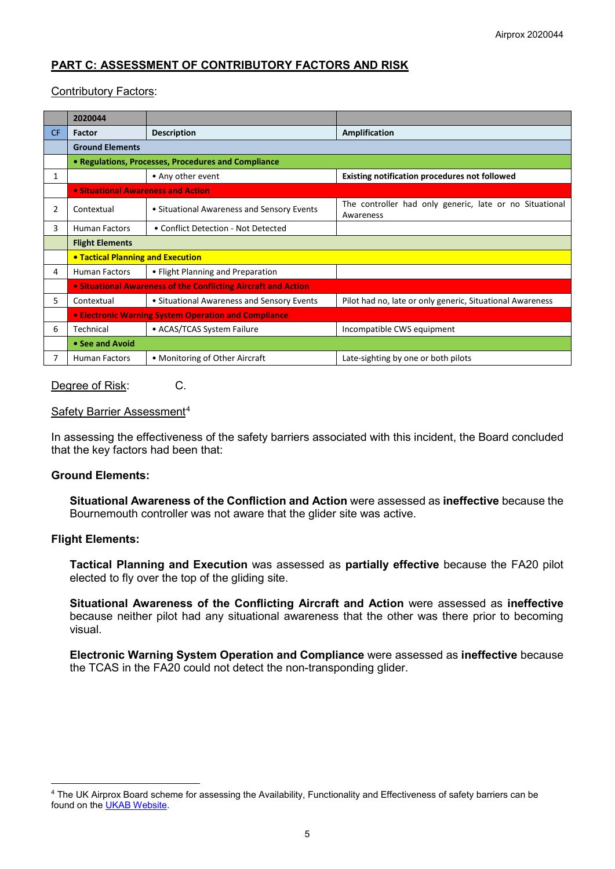# **PART C: ASSESSMENT OF CONTRIBUTORY FACTORS AND RISK**

# Contributory Factors:

|           | 2020044                                                        |                                            |                                                                      |  |  |
|-----------|----------------------------------------------------------------|--------------------------------------------|----------------------------------------------------------------------|--|--|
| <b>CF</b> | <b>Factor</b>                                                  | <b>Description</b>                         | Amplification                                                        |  |  |
|           | <b>Ground Elements</b>                                         |                                            |                                                                      |  |  |
|           | • Regulations, Processes, Procedures and Compliance            |                                            |                                                                      |  |  |
| 1         |                                                                | • Any other event                          | <b>Existing notification procedures not followed</b>                 |  |  |
|           | • Situational Awareness and Action                             |                                            |                                                                      |  |  |
| 2         | Contextual                                                     | • Situational Awareness and Sensory Events | The controller had only generic, late or no Situational<br>Awareness |  |  |
| 3         | <b>Human Factors</b>                                           | • Conflict Detection - Not Detected        |                                                                      |  |  |
|           | <b>Flight Elements</b>                                         |                                            |                                                                      |  |  |
|           | <b>• Tactical Planning and Execution</b>                       |                                            |                                                                      |  |  |
| 4         | <b>Human Factors</b>                                           | • Flight Planning and Preparation          |                                                                      |  |  |
|           | • Situational Awareness of the Conflicting Aircraft and Action |                                            |                                                                      |  |  |
| 5.        | Contextual                                                     | • Situational Awareness and Sensory Events | Pilot had no, late or only generic, Situational Awareness            |  |  |
|           | • Electronic Warning System Operation and Compliance           |                                            |                                                                      |  |  |
| 6         | Technical                                                      | • ACAS/TCAS System Failure                 | Incompatible CWS equipment                                           |  |  |
|           | • See and Avoid                                                |                                            |                                                                      |  |  |
|           | <b>Human Factors</b>                                           | • Monitoring of Other Aircraft             | Late-sighting by one or both pilots                                  |  |  |

### Degree of Risk: C.

### Safety Barrier Assessment<sup>[4](#page-4-0)</sup>

In assessing the effectiveness of the safety barriers associated with this incident, the Board concluded that the key factors had been that:

### **Ground Elements:**

**Situational Awareness of the Confliction and Action** were assessed as **ineffective** because the Bournemouth controller was not aware that the glider site was active.

### **Flight Elements:**

 $\overline{\phantom{a}}$ 

**Tactical Planning and Execution** was assessed as **partially effective** because the FA20 pilot elected to fly over the top of the gliding site.

**Situational Awareness of the Conflicting Aircraft and Action** were assessed as **ineffective** because neither pilot had any situational awareness that the other was there prior to becoming visual.

**Electronic Warning System Operation and Compliance** were assessed as **ineffective** because the TCAS in the FA20 could not detect the non-transponding glider.

<span id="page-4-0"></span><sup>4</sup> The UK Airprox Board scheme for assessing the Availability, Functionality and Effectiveness of safety barriers can be found on the [UKAB Website.](http://www.airproxboard.org.uk/Learn-more/Airprox-Barrier-Assessment/)